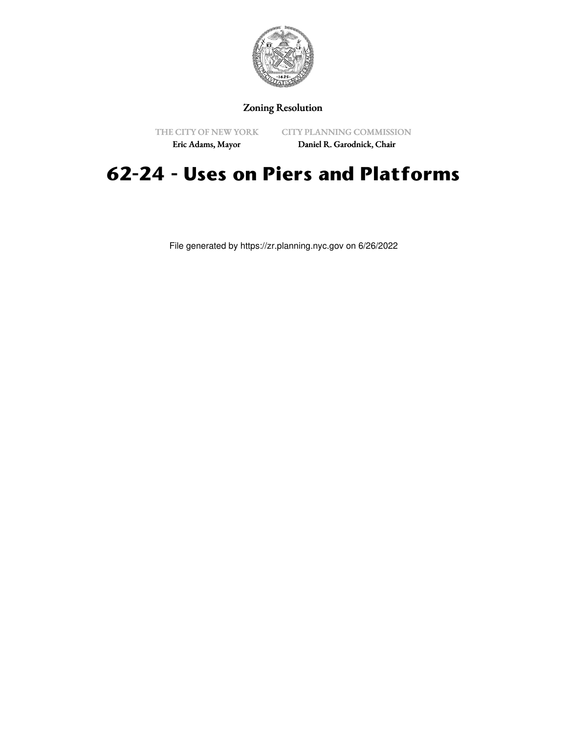

### Zoning Resolution

THE CITY OF NEW YORK Eric Adams, Mayor

CITY PLANNING COMMISSION

Daniel R. Garodnick, Chair

# **62-24 - Uses on Piers and Platforms**

File generated by https://zr.planning.nyc.gov on 6/26/2022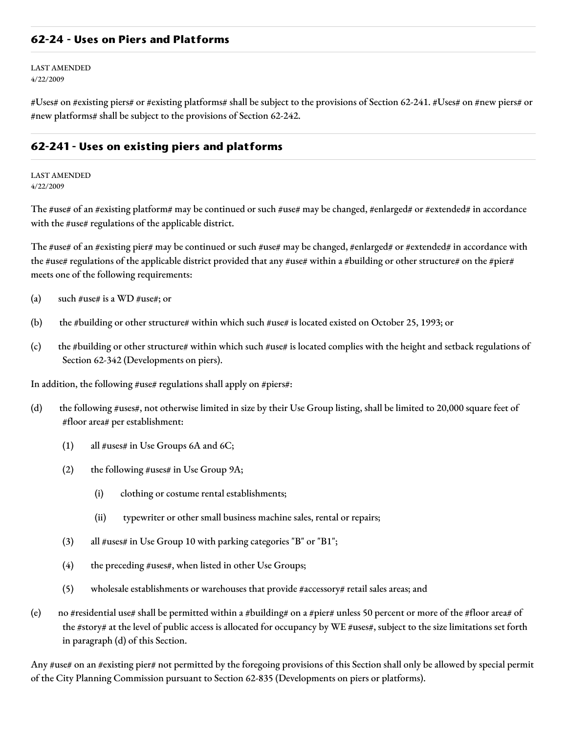#### **62-24 - Uses on Piers and Platforms**

LAST AMENDED 4/22/2009

#Uses# on #existing piers# or #existing platforms# shall be subject to the provisions of Section 62-241. #Uses# on #new piers# or #new platforms# shall be subject to the provisions of Section 62-242.

#### **62-241 - Uses on existing piers and platforms**

LAST AMENDED 4/22/2009

The #use# of an #existing platform# may be continued or such #use# may be changed, #enlarged# or #extended# in accordance with the #use# regulations of the applicable district.

The #use# of an #existing pier# may be continued or such #use# may be changed, #enlarged# or #extended# in accordance with the #use# regulations of the applicable district provided that any #use# within a #building or other structure# on the #pier# meets one of the following requirements:

- (a) such  $\#$ use# is a WD  $\#$ use#; or
- (b) the #building or other structure# within which such #use# is located existed on October 25, 1993; or
- (c) the #building or other structure# within which such #use# is located complies with the height and setback regulations of Section 62-342 (Developments on piers).

In addition, the following #use# regulations shall apply on #piers#:

- (d) the following #uses#, not otherwise limited in size by their Use Group listing, shall be limited to 20,000 square feet of #floor area# per establishment:
	- (1) all  $\#uses\#$  in Use Groups 6A and 6C;
	- (2) the following #uses# in Use Group  $9A$ ;
		- (i) clothing or costume rental establishments;
		- (ii) typewriter or other small business machine sales, rental or repairs;
	- (3) all #uses# in Use Group 10 with parking categories "B" or "B1";
	- (4) the preceding #uses#, when listed in other Use Groups;
	- (5) wholesale establishments or warehouses that provide #accessory# retail sales areas; and
- (e) no #residential use# shall be permitted within a #building# on a #pier# unless 50 percent or more of the #floor area# of the #story# at the level of public access is allocated for occupancy by WE #uses#, subject to the size limitations set forth in paragraph (d) of this Section.

Any #use# on an #existing pier# not permitted by the foregoing provisions of this Section shall only be allowed by special permit of the City Planning Commission pursuant to Section 62-835 (Developments on piers or platforms).